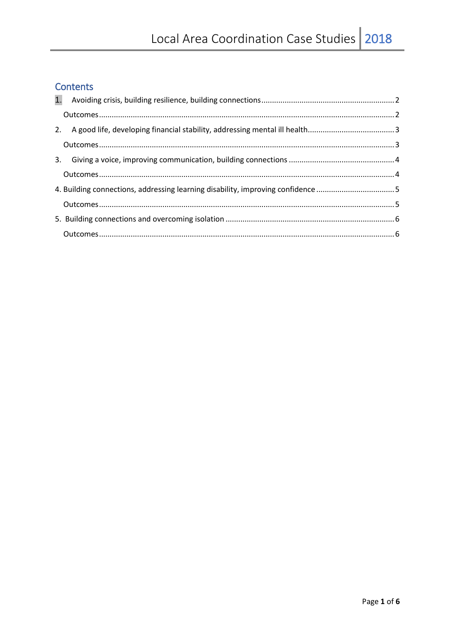# Contents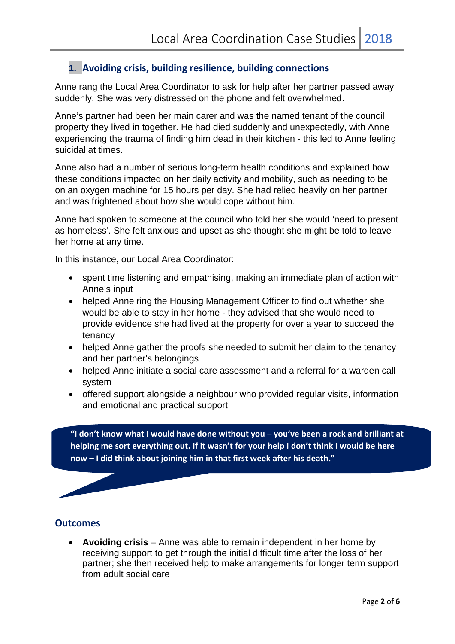## <span id="page-1-0"></span>**1. Avoiding crisis, building resilience, building connections**

Anne rang the Local Area Coordinator to ask for help after her partner passed away suddenly. She was very distressed on the phone and felt overwhelmed.

Anne's partner had been her main carer and was the named tenant of the council property they lived in together. He had died suddenly and unexpectedly, with Anne experiencing the trauma of finding him dead in their kitchen - this led to Anne feeling suicidal at times.

Anne also had a number of serious long-term health conditions and explained how these conditions impacted on her daily activity and mobility, such as needing to be on an oxygen machine for 15 hours per day. She had relied heavily on her partner and was frightened about how she would cope without him.

Anne had spoken to someone at the council who told her she would 'need to present as homeless'. She felt anxious and upset as she thought she might be told to leave her home at any time.

In this instance, our Local Area Coordinator:

- spent time listening and empathising, making an immediate plan of action with Anne's input
- helped Anne ring the Housing Management Officer to find out whether she would be able to stay in her home - they advised that she would need to provide evidence she had lived at the property for over a year to succeed the tenancy
- helped Anne gather the proofs she needed to submit her claim to the tenancy and her partner's belongings
- helped Anne initiate a social care assessment and a referral for a warden call system
- offered support alongside a neighbour who provided regular visits, information and emotional and practical support

**"I don't know what I would have done without you – you've been a rock and brilliant at helping me sort everything out. If it wasn't for your help I don't think I would be here now – I did think about joining him in that first week after his death."**

#### <span id="page-1-1"></span>**Outcomes**

• **Avoiding crisis** – Anne was able to remain independent in her home by receiving support to get through the initial difficult time after the loss of her partner; she then received help to make arrangements for longer term support from adult social care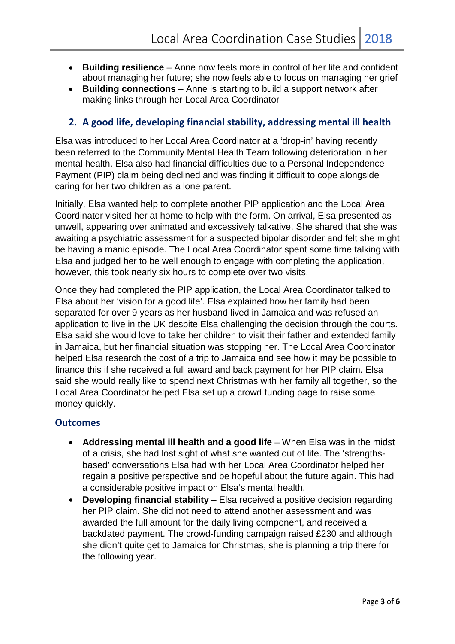- **Building resilience** Anne now feels more in control of her life and confident about managing her future; she now feels able to focus on managing her grief
- **Building connections** Anne is starting to build a support network after making links through her Local Area Coordinator

## <span id="page-2-0"></span>**2. A good life, developing financial stability, addressing mental ill health**

Elsa was introduced to her Local Area Coordinator at a 'drop-in' having recently been referred to the Community Mental Health Team following deterioration in her mental health. Elsa also had financial difficulties due to a Personal Independence Payment (PIP) claim being declined and was finding it difficult to cope alongside caring for her two children as a lone parent.

Initially, Elsa wanted help to complete another PIP application and the Local Area Coordinator visited her at home to help with the form. On arrival, Elsa presented as unwell, appearing over animated and excessively talkative. She shared that she was awaiting a psychiatric assessment for a suspected bipolar disorder and felt she might be having a manic episode. The Local Area Coordinator spent some time talking with Elsa and judged her to be well enough to engage with completing the application, however, this took nearly six hours to complete over two visits.

Once they had completed the PIP application, the Local Area Coordinator talked to Elsa about her 'vision for a good life'. Elsa explained how her family had been separated for over 9 years as her husband lived in Jamaica and was refused an application to live in the UK despite Elsa challenging the decision through the courts. Elsa said she would love to take her children to visit their father and extended family in Jamaica, but her financial situation was stopping her. The Local Area Coordinator helped Elsa research the cost of a trip to Jamaica and see how it may be possible to finance this if she received a full award and back payment for her PIP claim. Elsa said she would really like to spend next Christmas with her family all together, so the Local Area Coordinator helped Elsa set up a crowd funding page to raise some money quickly.

#### <span id="page-2-1"></span>**Outcomes**

- **Addressing mental ill health and a good life** When Elsa was in the midst of a crisis, she had lost sight of what she wanted out of life. The 'strengthsbased' conversations Elsa had with her Local Area Coordinator helped her regain a positive perspective and be hopeful about the future again. This had a considerable positive impact on Elsa's mental health.
- **Developing financial stability** Elsa received a positive decision regarding her PIP claim. She did not need to attend another assessment and was awarded the full amount for the daily living component, and received a backdated payment. The crowd-funding campaign raised £230 and although she didn't quite get to Jamaica for Christmas, she is planning a trip there for the following year.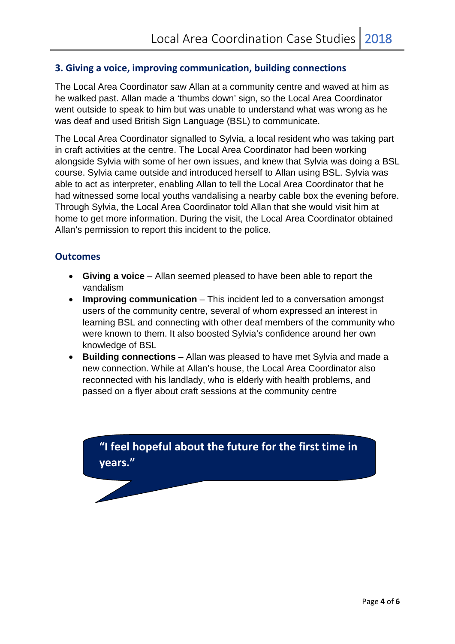### <span id="page-3-0"></span>**3. Giving a voice, improving communication, building connections**

The Local Area Coordinator saw Allan at a community centre and waved at him as he walked past. Allan made a 'thumbs down' sign, so the Local Area Coordinator went outside to speak to him but was unable to understand what was wrong as he was deaf and used British Sign Language (BSL) to communicate.

The Local Area Coordinator signalled to Sylvia, a local resident who was taking part in craft activities at the centre. The Local Area Coordinator had been working alongside Sylvia with some of her own issues, and knew that Sylvia was doing a BSL course. Sylvia came outside and introduced herself to Allan using BSL. Sylvia was able to act as interpreter, enabling Allan to tell the Local Area Coordinator that he had witnessed some local youths vandalising a nearby cable box the evening before. Through Sylvia, the Local Area Coordinator told Allan that she would visit him at home to get more information. During the visit, the Local Area Coordinator obtained Allan's permission to report this incident to the police.

#### **Outcomes**

- <span id="page-3-1"></span>• **Giving a voice** – Allan seemed pleased to have been able to report the vandalism
- **Improving communication** This incident led to a conversation amongst users of the community centre, several of whom expressed an interest in learning BSL and connecting with other deaf members of the community who were known to them. It also boosted Sylvia's confidence around her own knowledge of BSL
- **Building connections** Allan was pleased to have met Sylvia and made a new connection. While at Allan's house, the Local Area Coordinator also reconnected with his landlady, who is elderly with health problems, and passed on a flyer about craft sessions at the community centre

**"I feel hopeful about the future for the first time in years."**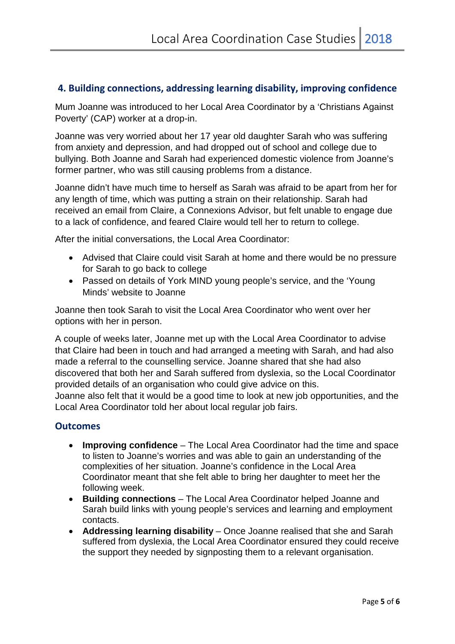## <span id="page-4-0"></span>**4. Building connections, addressing learning disability, improving confidence**

Mum Joanne was introduced to her Local Area Coordinator by a 'Christians Against Poverty' (CAP) worker at a drop-in.

Joanne was very worried about her 17 year old daughter Sarah who was suffering from anxiety and depression, and had dropped out of school and college due to bullying. Both Joanne and Sarah had experienced domestic violence from Joanne's former partner, who was still causing problems from a distance.

Joanne didn't have much time to herself as Sarah was afraid to be apart from her for any length of time, which was putting a strain on their relationship. Sarah had received an email from Claire, a Connexions Advisor, but felt unable to engage due to a lack of confidence, and feared Claire would tell her to return to college.

After the initial conversations, the Local Area Coordinator:

- Advised that Claire could visit Sarah at home and there would be no pressure for Sarah to go back to college
- Passed on details of York MIND young people's service, and the 'Young Minds' website to Joanne

Joanne then took Sarah to visit the Local Area Coordinator who went over her options with her in person.

A couple of weeks later, Joanne met up with the Local Area Coordinator to advise that Claire had been in touch and had arranged a meeting with Sarah, and had also made a referral to the counselling service. Joanne shared that she had also discovered that both her and Sarah suffered from dyslexia, so the Local Coordinator provided details of an organisation who could give advice on this. Joanne also felt that it would be a good time to look at new job opportunities, and the

Local Area Coordinator told her about local regular job fairs.

#### <span id="page-4-1"></span>**Outcomes**

- **Improving confidence**  The Local Area Coordinator had the time and space to listen to Joanne's worries and was able to gain an understanding of the complexities of her situation. Joanne's confidence in the Local Area Coordinator meant that she felt able to bring her daughter to meet her the following week.
- **Building connections**  The Local Area Coordinator helped Joanne and Sarah build links with young people's services and learning and employment contacts.
- **Addressing learning disability** Once Joanne realised that she and Sarah suffered from dyslexia, the Local Area Coordinator ensured they could receive the support they needed by signposting them to a relevant organisation.